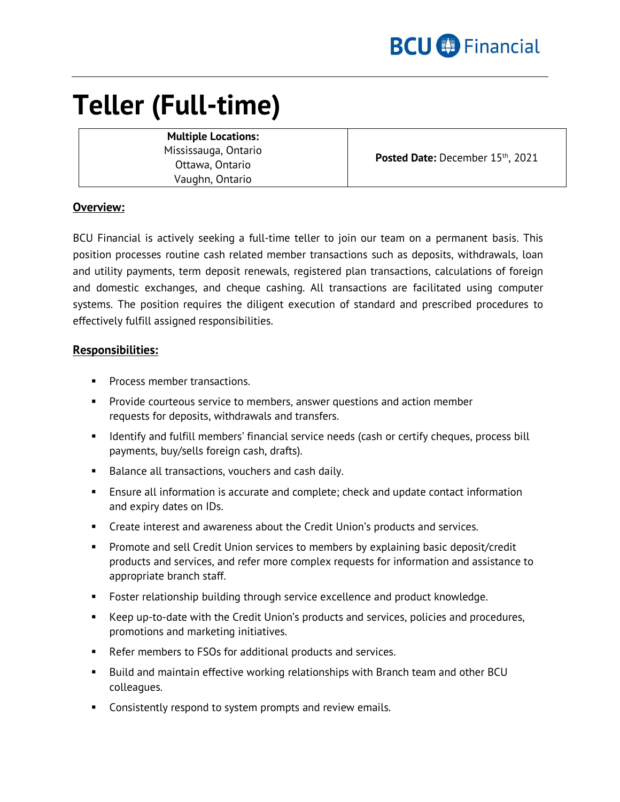

# **Teller (Full-time)**

**Multiple Locations:** Mississauga, Ontario Ottawa, Ontario Vaughn, Ontario

Posted Date: December 15<sup>th</sup>, 2021

## **Overview:**

BCU Financial is actively seeking a full-time teller to join our team on a permanent basis. This position processes routine cash related member transactions such as deposits, withdrawals, loan and utility payments, term deposit renewals, registered plan transactions, calculations of foreign and domestic exchanges, and cheque cashing. All transactions are facilitated using computer systems. The position requires the diligent execution of standard and prescribed procedures to effectively fulfill assigned responsibilities.

### **Responsibilities:**

- **Process member transactions.**
- Provide courteous service to members, answer questions and action member requests for deposits, withdrawals and transfers.
- **If Imm** Identify and fulfill members' financial service needs (cash or certify cheques, process bill payments, buy/sells foreign cash, drafts).
- Balance all transactions, vouchers and cash daily.
- Ensure all information is accurate and complete; check and update contact information and expiry dates on IDs.
- **Create interest and awareness about the Credit Union's products and services.**
- Promote and sell Credit Union services to members by explaining basic deposit/credit products and services, and refer more complex requests for information and assistance to appropriate branch staff.
- **Foster relationship building through service excellence and product knowledge.**
- Keep up-to-date with the Credit Union's products and services, policies and procedures, promotions and marketing initiatives.
- Refer members to FSOs for additional products and services.
- Build and maintain effective working relationships with Branch team and other BCU colleagues.
- **Consistently respond to system prompts and review emails.**